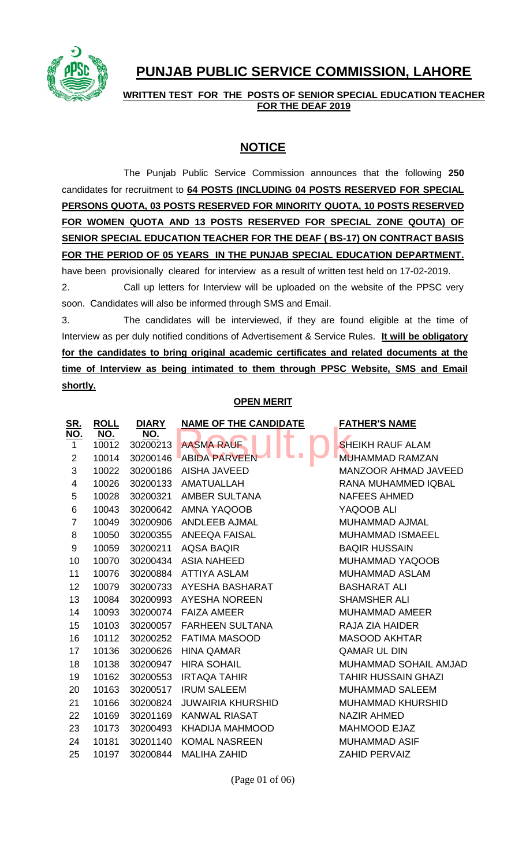

# **PUNJAB PUBLIC SERVICE COMMISSION, LAHORE**

**WRITTEN TEST FOR THE POSTS OF SENIOR SPECIAL EDUCATION TEACHER FOR THE DEAF 2019**

# **NOTICE**

The Punjab Public Service Commission announces that the following **250** candidates for recruitment to **64 POSTS (INCLUDING 04 POSTS RESERVED FOR SPECIAL PERSONS QUOTA, 03 POSTS RESERVED FOR MINORITY QUOTA, 10 POSTS RESERVED FOR WOMEN QUOTA AND 13 POSTS RESERVED FOR SPECIAL ZONE QOUTA) OF SENIOR SPECIAL EDUCATION TEACHER FOR THE DEAF ( BS-17) ON CONTRACT BASIS FOR THE PERIOD OF 05 YEARS IN THE PUNJAB SPECIAL EDUCATION DEPARTMENT.**  have been provisionally cleared for interview as a result of written test held on 17-02-2019. 2. Call up letters for Interview will be uploaded on the website of the PPSC very soon. Candidates will also be informed through SMS and Email. 3. The candidates will be interviewed, if they are found eligible at the time of

Interview as per duly notified conditions of Advertisement & Service Rules. **It will be obligatory for the candidates to bring original academic certificates and related documents at the time of Interview as being intimated to them through PPSC Website, SMS and Email shortly.**

### **OPEN MERIT**

| <u>SR.</u>     | <b>ROLL</b>         | <b>DIARY</b>    | <b>NAME OF THE CANDIDATE</b> | <b>FATHER'S NAME</b>        |
|----------------|---------------------|-----------------|------------------------------|-----------------------------|
| <u>NO.</u>     | <b>NO.</b><br>10012 | NO.<br>30200213 | د ک<br><b>AASMA RAUF</b>     | <b>SHEIKH RAUF ALAM</b>     |
| $\mathbf 1$    |                     |                 |                              |                             |
| $\overline{2}$ | 10014               | 30200146        | <b>ABIDA PARVEEN</b>         | <b>MUHAMMAD RAMZAN</b>      |
| 3              | 10022               | 30200186        | AISHA JAVEED                 | <b>MANZOOR AHMAD JAVEED</b> |
| 4              | 10026               | 30200133        | AMATUALLAH                   | RANA MUHAMMED IQBAL         |
| 5              | 10028               | 30200321        | AMBER SULTANA                | <b>NAFEES AHMED</b>         |
| 6              | 10043               | 30200642        | AMNA YAQOOB                  | YAQOOB ALI                  |
| $\overline{7}$ | 10049               | 30200906        | ANDLEEB AJMAL                | MUHAMMAD AJMAL              |
| 8              | 10050               | 30200355        | ANEEQA FAISAL                | <b>MUHAMMAD ISMAEEL</b>     |
| 9              | 10059               | 30200211        | <b>AQSA BAQIR</b>            | <b>BAQIR HUSSAIN</b>        |
| 10             | 10070               | 30200434        | <b>ASIA NAHEED</b>           | <b>MUHAMMAD YAQOOB</b>      |
| 11             | 10076               | 30200884        | <b>ATTIYA ASLAM</b>          | <b>MUHAMMAD ASLAM</b>       |
| 12             | 10079               | 30200733        | AYESHA BASHARAT              | <b>BASHARAT ALI</b>         |
| 13             | 10084               | 30200993        | AYESHA NOREEN                | <b>SHAMSHER ALI</b>         |
| 14             | 10093               | 30200074        | <b>FAIZA AMEER</b>           | <b>MUHAMMAD AMEER</b>       |
| 15             | 10103               | 30200057        | <b>FARHEEN SULTANA</b>       | RAJA ZIA HAIDER             |
| 16             | 10112               | 30200252        | <b>FATIMA MASOOD</b>         | <b>MASOOD AKHTAR</b>        |
| 17             | 10136               | 30200626        | <b>HINA QAMAR</b>            | <b>QAMAR UL DIN</b>         |
| 18             | 10138               | 30200947        | <b>HIRA SOHAIL</b>           | MUHAMMAD SOHAIL AMJAD       |
| 19             | 10162               | 30200553        | <b>IRTAQA TAHIR</b>          | <b>TAHIR HUSSAIN GHAZI</b>  |
| 20             | 10163               | 30200517        | <b>IRUM SALEEM</b>           | <b>MUHAMMAD SALEEM</b>      |
| 21             | 10166               | 30200824        | <b>JUWAIRIA KHURSHID</b>     | <b>MUHAMMAD KHURSHID</b>    |
| 22             | 10169               | 30201169        | <b>KANWAL RIASAT</b>         | <b>NAZIR AHMED</b>          |
| 23             | 10173               | 30200493        | KHADIJA MAHMOOD              | <b>MAHMOOD EJAZ</b>         |
| 24             | 10181               | 30201140        | <b>KOMAL NASREEN</b>         | <b>MUHAMMAD ASIF</b>        |
| 25             | 10197               | 30200844        | <b>MALIHA ZAHID</b>          | <b>ZAHID PERVAIZ</b>        |

(Page 01 of 06)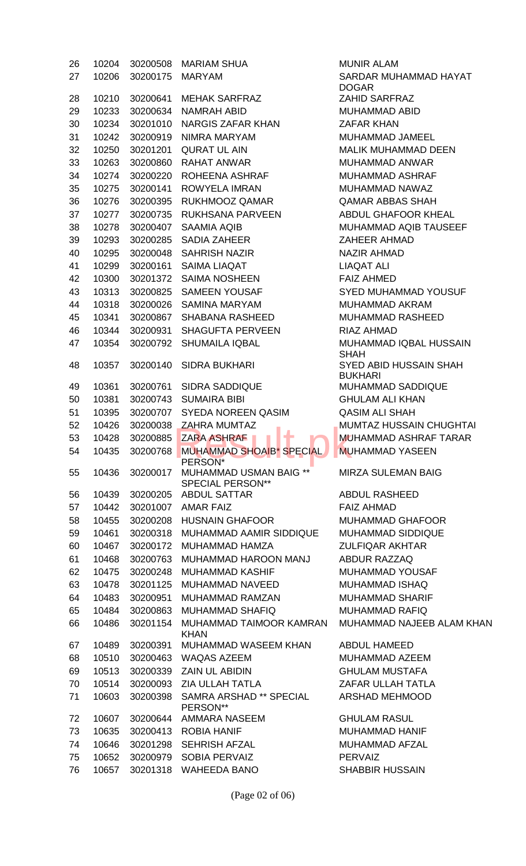| 26 | 10204 | 30200508 | <b>MARIAM SHUA</b>                                           | <b>MUNIR ALAM</b>                               |
|----|-------|----------|--------------------------------------------------------------|-------------------------------------------------|
| 27 | 10206 | 30200175 | <b>MARYAM</b>                                                | SARDAR MUHAMMAD HAYAT<br><b>DOGAR</b>           |
| 28 | 10210 | 30200641 | <b>MEHAK SARFRAZ</b>                                         | <b>ZAHID SARFRAZ</b>                            |
| 29 | 10233 | 30200634 | <b>NAMRAH ABID</b>                                           | <b>MUHAMMAD ABID</b>                            |
| 30 | 10234 | 30201010 | <b>NARGIS ZAFAR KHAN</b>                                     | <b>ZAFAR KHAN</b>                               |
| 31 | 10242 | 30200919 | NIMRA MARYAM                                                 | MUHAMMAD JAMEEL                                 |
| 32 | 10250 | 30201201 | <b>QURAT UL AIN</b>                                          | <b>MALIK MUHAMMAD DEEN</b>                      |
| 33 | 10263 | 30200860 | <b>RAHAT ANWAR</b>                                           | MUHAMMAD ANWAR                                  |
| 34 | 10274 | 30200220 | ROHEENA ASHRAF                                               | <b>MUHAMMAD ASHRAF</b>                          |
| 35 | 10275 | 30200141 | ROWYELA IMRAN                                                | <b>MUHAMMAD NAWAZ</b>                           |
|    |       |          | <b>RUKHMOOZ QAMAR</b>                                        | <b>QAMAR ABBAS SHAH</b>                         |
| 36 | 10276 | 30200395 |                                                              |                                                 |
| 37 | 10277 | 30200735 | RUKHSANA PARVEEN                                             | ABDUL GHAFOOR KHEAL                             |
| 38 | 10278 | 30200407 | <b>SAAMIA AQIB</b>                                           | MUHAMMAD AQIB TAUSEEF                           |
| 39 | 10293 | 30200285 | <b>SADIA ZAHEER</b>                                          | <b>ZAHEER AHMAD</b>                             |
| 40 | 10295 | 30200048 | <b>SAHRISH NAZIR</b>                                         | <b>NAZIR AHMAD</b>                              |
| 41 | 10299 | 30200161 | <b>SAIMA LIAQAT</b>                                          | <b>LIAQAT ALI</b>                               |
| 42 | 10300 | 30201372 | <b>SAIMA NOSHEEN</b>                                         | <b>FAIZ AHMED</b>                               |
| 43 | 10313 | 30200825 | <b>SAMEEN YOUSAF</b>                                         | <b>SYED MUHAMMAD YOUSUF</b>                     |
| 44 | 10318 | 30200026 | <b>SAMINA MARYAM</b>                                         | <b>MUHAMMAD AKRAM</b>                           |
| 45 | 10341 | 30200867 | <b>SHABANA RASHEED</b>                                       | <b>MUHAMMAD RASHEED</b>                         |
| 46 | 10344 | 30200931 | <b>SHAGUFTA PERVEEN</b>                                      | RIAZ AHMAD                                      |
| 47 | 10354 | 30200792 | <b>SHUMAILA IQBAL</b>                                        | MUHAMMAD IQBAL HUSSAIN<br><b>SHAH</b>           |
| 48 | 10357 | 30200140 | <b>SIDRA BUKHARI</b>                                         | <b>SYED ABID HUSSAIN SHAH</b><br><b>BUKHARI</b> |
| 49 | 10361 | 30200761 | <b>SIDRA SADDIQUE</b>                                        | <b>MUHAMMAD SADDIQUE</b>                        |
| 50 | 10381 | 30200743 | <b>SUMAIRA BIBI</b>                                          | <b>GHULAM ALI KHAN</b>                          |
| 51 | 10395 | 30200707 | <b>SYEDA NOREEN QASIM</b>                                    | <b>QASIM ALI SHAH</b>                           |
| 52 | 10426 | 30200038 | <b>ZAHRA MUMTAZ</b>                                          | <b>MUMTAZ HUSSAIN CHUGHTAI</b>                  |
| 53 | 10428 | 30200885 | ∔<br><b>ZARA ASHRAF</b>                                      | <b>MUHAMMAD ASHRAF TARAR</b>                    |
| 54 | 10435 | 30200768 | <b>MUHAMMAD SHOAIB* SPECIAL</b>                              | <b>MUHAMMAD YASEEN</b>                          |
| 55 | 10436 | 30200017 | PERSON*<br>MUHAMMAD USMAN BAIG **<br><b>SPECIAL PERSON**</b> | <b>MIRZA SULEMAN BAIG</b>                       |
| 56 | 10439 | 30200205 | <b>ABDUL SATTAR</b>                                          | <b>ABDUL RASHEED</b>                            |
| 57 | 10442 | 30201007 | AMAR FAIZ                                                    | <b>FAIZ AHMAD</b>                               |
| 58 | 10455 | 30200208 | <b>HUSNAIN GHAFOOR</b>                                       | <b>MUHAMMAD GHAFOOR</b>                         |
| 59 | 10461 | 30200318 | MUHAMMAD AAMIR SIDDIQUE                                      | <b>MUHAMMAD SIDDIQUE</b>                        |
| 60 | 10467 | 30200172 | MUHAMMAD HAMZA                                               | <b>ZULFIQAR AKHTAR</b>                          |
| 61 | 10468 | 30200763 | MUHAMMAD HAROON MANJ                                         | <b>ABDUR RAZZAQ</b>                             |
| 62 | 10475 | 30200248 | <b>MUHAMMAD KASHIF</b>                                       | <b>MUHAMMAD YOUSAF</b>                          |
| 63 | 10478 | 30201125 | MUHAMMAD NAVEED                                              | <b>MUHAMMAD ISHAQ</b>                           |
| 64 | 10483 | 30200951 | <b>MUHAMMAD RAMZAN</b>                                       | <b>MUHAMMAD SHARIF</b>                          |
| 65 | 10484 | 30200863 | <b>MUHAMMAD SHAFIQ</b>                                       | <b>MUHAMMAD RAFIQ</b>                           |
| 66 | 10486 | 30201154 | MUHAMMAD TAIMOOR KAMRAN<br><b>KHAN</b>                       | MUHAMMAD NAJEEB ALAM KHAN                       |
| 67 | 10489 | 30200391 | MUHAMMAD WASEEM KHAN                                         | <b>ABDUL HAMEED</b>                             |
| 68 | 10510 | 30200463 | WAQAS AZEEM                                                  | MUHAMMAD AZEEM                                  |
| 69 | 10513 | 30200339 | <b>ZAIN UL ABIDIN</b>                                        | <b>GHULAM MUSTAFA</b>                           |
| 70 | 10514 | 30200093 | <b>ZIA ULLAH TATLA</b>                                       | ZAFAR ULLAH TATLA                               |
| 71 | 10603 | 30200398 | <b>SAMRA ARSHAD ** SPECIAL</b><br>PERSON**                   | ARSHAD MEHMOOD                                  |
| 72 | 10607 | 30200644 | AMMARA NASEEM                                                | <b>GHULAM RASUL</b>                             |
| 73 | 10635 | 30200413 | <b>ROBIA HANIF</b>                                           | <b>MUHAMMAD HANIF</b>                           |
| 74 | 10646 | 30201298 | <b>SEHRISH AFZAL</b>                                         | <b>MUHAMMAD AFZAL</b>                           |
| 75 | 10652 | 30200979 | SOBIA PERVAIZ                                                | <b>PERVAIZ</b>                                  |
| 76 | 10657 | 30201318 | <b>WAHEEDA BANO</b>                                          | <b>SHABBIR HUSSAIN</b>                          |

(Page 02 of 06)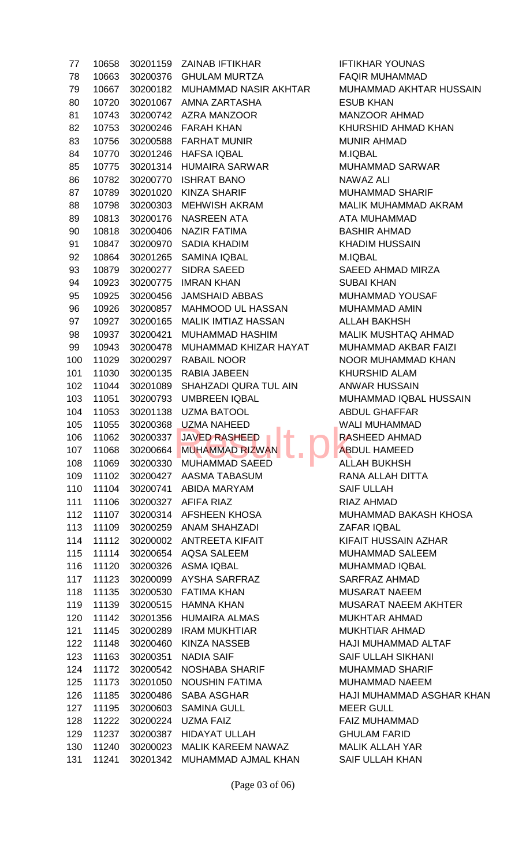| 77  | 10658 | 30201159 | <b>ZAINAB IFTIKHAR</b>                     | <b>IFTIKHAR YOUNAS</b>  |
|-----|-------|----------|--------------------------------------------|-------------------------|
| 78  | 10663 | 30200376 | <b>GHULAM MURTZA</b>                       | <b>FAQIR MUHAMMAI</b>   |
| 79  | 10667 | 30200182 | <b>MUHAMMAD NASIR AKHTAR</b>               | <b>MUHAMMAD AKHT</b>    |
| 80  | 10720 | 30201067 | AMNA ZARTASHA                              | <b>ESUB KHAN</b>        |
| 81  | 10743 | 30200742 | <b>AZRA MANZOOR</b>                        | <b>MANZOOR AHMAD</b>    |
| 82  | 10753 | 30200246 | <b>FARAH KHAN</b>                          | <b>KHURSHID AHMAD</b>   |
| 83  | 10756 | 30200588 | <b>FARHAT MUNIR</b>                        | <b>MUNIR AHMAD</b>      |
| 84  | 10770 | 30201246 | <b>HAFSA IQBAL</b>                         | M.IQBAL                 |
| 85  | 10775 | 30201314 | <b>HUMAIRA SARWAR</b>                      | <b>MUHAMMAD SARV</b>    |
| 86  | 10782 | 30200770 | <b>ISHRAT BANO</b>                         | NAWAZ ALI               |
| 87  | 10789 | 30201020 | <b>KINZA SHARIF</b>                        | <b>MUHAMMAD SHAR</b>    |
| 88  | 10798 | 30200303 | <b>MEHWISH AKRAM</b>                       | <b>MALIK MUHAMMAI</b>   |
| 89  | 10813 | 30200176 | <b>NASREEN ATA</b>                         | ATA MUHAMMAD            |
| 90  | 10818 | 30200406 | <b>NAZIR FATIMA</b>                        | <b>BASHIR AHMAD</b>     |
| 91  | 10847 | 30200970 | <b>SADIA KHADIM</b>                        | <b>KHADIM HUSSAIN</b>   |
| 92  | 10864 | 30201265 | <b>SAMINA IQBAL</b>                        | M.IQBAL                 |
| 93  | 10879 | 30200277 | <b>SIDRA SAEED</b>                         | <b>SAEED AHMAD MI</b>   |
| 94  | 10923 | 30200775 | <b>IMRAN KHAN</b>                          | <b>SUBAI KHAN</b>       |
| 95  | 10925 | 30200456 | <b>JAMSHAID ABBAS</b>                      | <b>MUHAMMAD YOUS</b>    |
| 96  | 10926 | 30200857 | MAHMOOD UL HASSAN                          | <b>MUHAMMAD AMIN</b>    |
| 97  | 10927 | 30200165 | <b>MALIK IMTIAZ HASSAN</b>                 | <b>ALLAH BAKHSH</b>     |
| 98  | 10937 | 30200421 | <b>MUHAMMAD HASHIM</b>                     | <b>MALIK MUSHTAQ /</b>  |
| 99  | 10943 | 30200478 | MUHAMMAD KHIZAR HAYAT                      | <b>MUHAMMAD AKBA</b>    |
| 100 | 11029 | 30200297 | <b>RABAIL NOOR</b>                         | <b>NOOR MUHAMMAI</b>    |
| 101 | 11030 | 30200135 | <b>RABIA JABEEN</b>                        | <b>KHURSHID ALAM</b>    |
| 102 | 11044 | 30201089 | SHAHZADI QURA TUL AIN                      | ANWAR HUSSAIN           |
| 103 | 11051 | 30200793 | <b>UMBREEN IQBAL</b>                       | <b>MUHAMMAD IQBAI</b>   |
| 104 | 11053 | 30201138 | <b>UZMA BATOOL</b>                         | ABDUL GHAFFAR           |
| 105 | 11055 | 30200368 | <b>UZMA NAHEED</b>                         | <b>WALI MUHAMMAD</b>    |
| 106 | 11062 | 30200337 | ÷<br><b>JAVED RASHEED</b>                  | RASHEED AHMAD           |
| 107 | 11068 | 30200664 | <b>MUHAMMAD RIZWAN</b>                     | <b>ABDUL HAMEED</b>     |
| 108 | 11069 | 30200330 | <b>MUHAMMAD SAEED</b>                      | ALLAH BUKHSH            |
| 109 | 11102 | 30200427 | AASMA TABASUM                              | RANA ALLAH DITT.        |
| 110 | 11104 | 30200741 | ABIDA MARYAM                               | <b>SAIF ULLAH</b>       |
| 111 | 11106 | 30200327 | AFIFA RIAZ                                 | RIAZ AHMAD              |
| 112 | 11107 |          | 30200314 AFSHEEN KHOSA                     | <b>MUHAMMAD BAKA</b>    |
| 113 | 11109 | 30200259 | ANAM SHAHZADI                              | ZAFAR IQBAL             |
| 114 | 11112 | 30200002 | ANTREETA KIFAIT                            | <b>KIFAIT HUSSAIN A</b> |
| 115 | 11114 | 30200654 | <b>AQSA SALEEM</b>                         | <b>MUHAMMAD SALE</b>    |
| 116 | 11120 | 30200326 | ASMA IQBAL                                 | <b>MUHAMMAD IQBAI</b>   |
| 117 | 11123 | 30200099 | AYSHA SARFRAZ                              | <b>SARFRAZ AHMAD</b>    |
| 118 | 11135 | 30200530 | <b>FATIMA KHAN</b>                         | <b>MUSARAT NAEEM</b>    |
| 119 | 11139 | 30200515 | <b>HAMNA KHAN</b>                          | <b>MUSARAT NAEEM</b>    |
| 120 | 11142 | 30201356 | HUMAIRA ALMAS                              | <b>MUKHTAR AHMAD</b>    |
| 121 |       | 30200289 | <b>IRAM MUKHTIAR</b>                       | <b>MUKHTIAR AHMAD</b>   |
|     | 11145 |          | <b>KINZA NASSEB</b>                        | HAJI MUHAMMAD .         |
| 122 | 11148 | 30200460 |                                            | <b>SAIF ULLAH SIKHA</b> |
| 123 | 11163 | 30200351 | <b>NADIA SAIF</b><br><b>NOSHABA SHARIF</b> |                         |
| 124 | 11172 | 30200542 |                                            | <b>MUHAMMAD SHAR</b>    |
| 125 | 11173 | 30201050 | <b>NOUSHIN FATIMA</b>                      | <b>MUHAMMAD NAEE</b>    |
| 126 | 11185 | 30200486 | SABA ASGHAR                                | HAJI MUHAMMAD .         |
| 127 | 11195 | 30200603 | <b>SAMINA GULL</b>                         | <b>MEER GULL</b>        |
| 128 | 11222 | 30200224 | UZMA FAIZ                                  | <b>FAIZ MUHAMMAD</b>    |
| 129 | 11237 | 30200387 | HIDAYAT ULLAH                              | <b>GHULAM FARID</b>     |
| 130 | 11240 | 30200023 | MALIK KAREEM NAWAZ                         | <b>MALIK ALLAH YAR</b>  |
| 131 | 11241 | 30201342 | MUHAMMAD AJMAL KHAN SAIF ULLAH KHAN        |                         |

**IFTIKHAR YOUNAS** FAQIR MUHAMMAD MUHAMMAD AKHTAR HUSSAIN **ESUB KHAN** MANZOOR AHMAD KHURSHID AHMAD KHAN MUNIR AHMAD M.IQBAL MUHAMMAD SARWAR NAWAZ ALI MUHAMMAD SHARIF MALIK MUHAMMAD AKRAM ATA MUHAMMAD BASHIR AHMAD KHADIM HUSSAIN M.IQBAL SAEED AHMAD MIRZA **SUBAI KHAN** MUHAMMAD YOUSAF MUHAMMAD AMIN ALLAH BAKHSH MALIK MUSHTAQ AHMAD MUHAMMAD AKBAR FAIZI NOOR MUHAMMAD KHAN KHURSHID ALAM ANWAR HUSSAIN MUHAMMAD IQBAL HUSSAIN ABDUL GHAFFAR WALI MUHAMMAD RASHEED AHMAD **ABDUL HAMEED** ALLAH BUKHSH RANA ALLAH DITTA SAIF ULLAH RIAZ AHMAD MUHAMMAD BAKASH KHOSA **ZAFAR IQBAL** KIFAIT HUSSAIN AZHAR MUHAMMAD SALEEM MUHAMMAD IQBAL SARFRAZ AHMAD MUSARAT NAEEM MUSARAT NAEEM AKHTER MUKHTAR AHMAD MUKHTIAR AHMAD HAJI MUHAMMAD ALTAF **SAIF ULLAH SIKHANI** MUHAMMAD SHARIF MUHAMMAD NAEEM HAJI MUHAMMAD ASGHAR KHAN **MEER GULL** FAIZ MUHAMMAD **GHULAM FARID** MALIK ALLAH YAR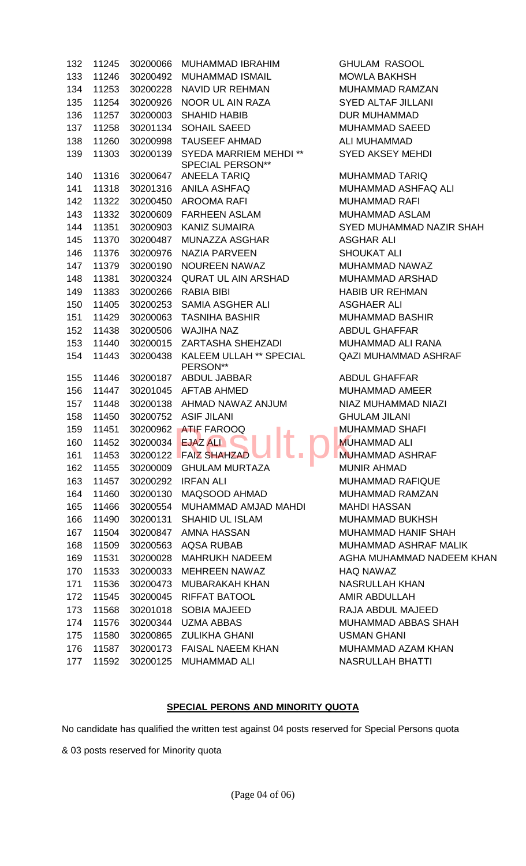| 132 | 11245 |          | 30200066 MUHAMMAD IBRAHIM                           | <b>GHULAM RASOOL</b>         |
|-----|-------|----------|-----------------------------------------------------|------------------------------|
| 133 | 11246 | 30200492 | MUHAMMAD ISMAIL                                     | <b>MOWLA BAKHSH</b>          |
| 134 | 11253 | 30200228 | NAVID UR REHMAN                                     | <b>MUHAMMAD RAMZAN</b>       |
| 135 | 11254 | 30200926 | NOOR UL AIN RAZA                                    | <b>SYED ALTAF JILLANI</b>    |
| 136 | 11257 | 30200003 | SHAHID HABIB                                        | <b>DUR MUHAMMAD</b>          |
| 137 | 11258 | 30201134 | SOHAIL SAEED                                        | <b>MUHAMMAD SAEED</b>        |
| 138 | 11260 | 30200998 | TAUSEEF AHMAD                                       | ALI MUHAMMAD                 |
| 139 | 11303 | 30200139 | SYEDA MARRIEM MEHDI **                              | <b>SYED AKSEY MEHDI</b>      |
|     |       |          | <b>SPECIAL PERSON**</b>                             |                              |
| 140 | 11316 | 30200647 | ANEELA TARIQ                                        | <b>MUHAMMAD TARIQ</b>        |
| 141 | 11318 |          | 30201316 ANILA ASHFAQ                               | MUHAMMAD ASHFAQ ALI          |
| 142 | 11322 | 30200450 | AROOMA RAFI                                         | <b>MUHAMMAD RAFI</b>         |
| 143 | 11332 |          | 30200609 FARHEEN ASLAM                              | <b>MUHAMMAD ASLAM</b>        |
| 144 | 11351 |          | 30200903 KANIZ SUMAIRA                              | SYED MUHAMMAD NAZIR SHAH     |
| 145 | 11370 | 30200487 | MUNAZZA ASGHAR                                      | <b>ASGHAR ALI</b>            |
| 146 | 11376 | 30200976 | NAZIA PARVEEN                                       | <b>SHOUKAT ALI</b>           |
| 147 | 11379 | 30200190 | NOUREEN NAWAZ                                       | MUHAMMAD NAWAZ               |
| 148 | 11381 | 30200324 | QURAT UL AIN ARSHAD                                 | MUHAMMAD ARSHAD              |
| 149 | 11383 | 30200266 | RABIA BIBI                                          | <b>HABIB UR REHMAN</b>       |
| 150 | 11405 | 30200253 | SAMIA ASGHER ALI                                    | <b>ASGHAER ALI</b>           |
| 151 | 11429 | 30200063 | TASNIHA BASHIR                                      | <b>MUHAMMAD BASHIR</b>       |
| 152 | 11438 | 30200506 | WAJIHA NAZ                                          | <b>ABDUL GHAFFAR</b>         |
| 153 | 11440 | 30200015 | ZARTASHA SHEHZADI                                   | MUHAMMAD ALI RANA            |
| 154 | 11443 | 30200438 | KALEEM ULLAH ** SPECIAL                             | <b>QAZI MUHAMMAD ASHRAF</b>  |
|     |       |          | PERSON**                                            |                              |
| 155 | 11446 | 30200187 | ABDUL JABBAR                                        | <b>ABDUL GHAFFAR</b>         |
| 156 | 11447 |          | 30201045 AFTAB AHMED                                | <b>MUHAMMAD AMEER</b>        |
| 157 | 11448 |          | 30200138 AHMAD NAWAZ ANJUM                          | NIAZ MUHAMMAD NIAZI          |
| 158 | 11450 |          | 30200752 ASIF JILANI                                | <b>GHULAM JILANI</b>         |
| 159 | 11451 |          | 30200962 ATIF FAROOQ<br>160 11452 30200034 EJAZ ALI | <b>MUHAMMAD SHAFI</b>        |
|     |       |          |                                                     | <b>MUHAMMAD ALI</b>          |
| 161 | 11453 | 30200122 | <b>FAIZ SHAHZAD</b>                                 | <b>MUHAMMAD ASHRAF</b>       |
| 162 | 11455 | 30200009 | <b>GHULAM MURTAZA</b><br><b>IRFAN ALI</b>           | <b>MUNIR AHMAD</b>           |
| 163 | 11457 | 30200292 |                                                     | <b>MUHAMMAD RAFIQUE</b>      |
| 164 | 11460 | 30200130 | MAQSOOD AHMAD                                       | <b>MUHAMMAD RAMZAN</b>       |
| 165 | 11466 | 30200554 | MUHAMMAD AMJAD MAHDI                                | <b>MAHDI HASSAN</b>          |
| 166 | 11490 | 30200131 | <b>SHAHID UL ISLAM</b>                              | <b>MUHAMMAD BUKHSH</b>       |
| 167 | 11504 | 30200847 | AMNA HASSAN                                         | MUHAMMAD HANIF SHAH          |
| 168 | 11509 | 30200563 | AQSA RUBAB                                          | <b>MUHAMMAD ASHRAF MALIK</b> |
| 169 | 11531 | 30200028 | <b>MAHRUKH NADEEM</b>                               | AGHA MUHAMMAD NADEEM KHAN    |
| 170 | 11533 | 30200033 | MEHREEN NAWAZ                                       | <b>HAQ NAWAZ</b>             |
| 171 | 11536 | 30200473 | MUBARAKAH KHAN                                      | <b>NASRULLAH KHAN</b>        |
| 172 | 11545 | 30200045 | <b>RIFFAT BATOOL</b>                                | AMIR ABDULLAH                |
| 173 | 11568 | 30201018 | <b>SOBIA MAJEED</b>                                 | RAJA ABDUL MAJEED            |
| 174 | 11576 | 30200344 | UZMA ABBAS                                          | MUHAMMAD ABBAS SHAH          |
| 175 | 11580 | 30200865 | ZULIKHA GHANI                                       | <b>USMAN GHANI</b>           |
| 176 | 11587 | 30200173 | <b>FAISAL NAEEM KHAN</b>                            | MUHAMMAD AZAM KHAN           |
| 177 | 11592 | 30200125 | <b>MUHAMMAD ALI</b>                                 | NASRULLAH BHATTI             |

## **SPECIAL PERONS AND MINORITY QUOTA**

No candidate has qualified the written test against 04 posts reserved for Special Persons quota

& 03 posts reserved for Minority quota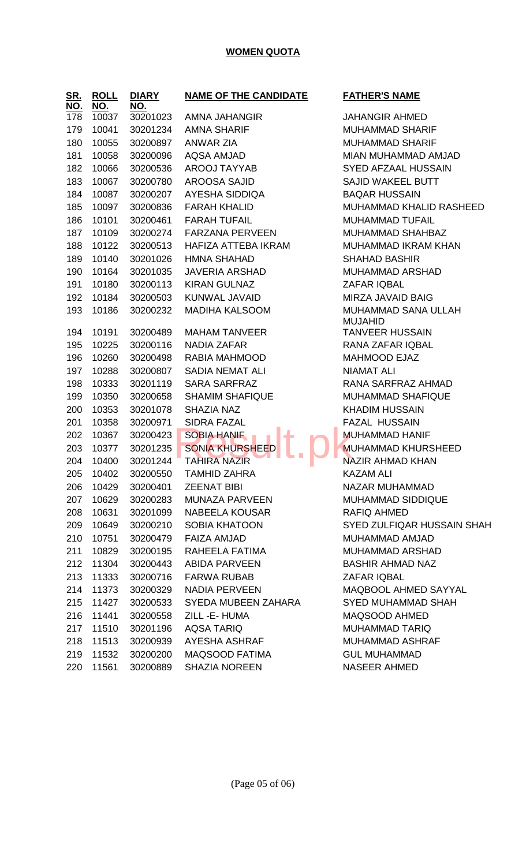### **WOMEN QUOTA**

| <u>SR.</u><br><u>NO.</u> | <b>ROLL</b><br>NO. | <b>DIARY</b><br>NO. | <b>NAME OF THE CANDIDATE</b> | <u>FATHER'S NAI</u>                 |
|--------------------------|--------------------|---------------------|------------------------------|-------------------------------------|
| 178                      | 10037              | 30201023            | AMNA JAHANGIR                | <b>JAHANGIR AHI</b>                 |
| 179                      | 10041              | 30201234            | <b>AMNA SHARIF</b>           | <b>MUHAMMAD S</b>                   |
| 180                      | 10055              | 30200897            | <b>ANWAR ZIA</b>             | <b>MUHAMMAD S</b>                   |
| 181                      | 10058              | 30200096            | <b>AQSA AMJAD</b>            | <b>MIAN MUHAMM</b>                  |
| 182                      | 10066              | 30200536            | AROOJ TAYYAB                 | <b>SYED AFZAAL</b>                  |
| 183                      | 10067              | 30200780            | <b>AROOSA SAJID</b>          | <b>SAJID WAKEEI</b>                 |
| 184                      | 10087              | 30200207            | <b>AYESHA SIDDIQA</b>        | <b>BAQAR HUSSA</b>                  |
| 185                      | 10097              | 30200836            | <b>FARAH KHALID</b>          | <b>MUHAMMAD K</b>                   |
| 186                      | 10101              | 30200461            | <b>FARAH TUFAIL</b>          | <b>MUHAMMAD T</b>                   |
| 187                      | 10109              | 30200274            | <b>FARZANA PERVEEN</b>       | <b>MUHAMMAD S</b>                   |
| 188                      | 10122              | 30200513            | HAFIZA ATTEBA IKRAM          | <b>MUHAMMAD II</b>                  |
| 189                      | 10140              | 30201026            | <b>HMNA SHAHAD</b>           | <b>SHAHAD BASH</b>                  |
| 190                      | 10164              | 30201035            | <b>JAVERIA ARSHAD</b>        | <b>MUHAMMAD A</b>                   |
| 191                      | 10180              | 30200113            | <b>KIRAN GULNAZ</b>          | ZAFAR IQBAL                         |
| 192                      | 10184              | 30200503            | KUNWAL JAVAID                | <b>MIRZA JAVAID</b>                 |
| 193                      | 10186              | 30200232            | <b>MADIHA KALSOOM</b>        | <b>MUHAMMAD S</b><br><b>MUJAHID</b> |
| 194                      | 10191              | 30200489            | <b>MAHAM TANVEER</b>         | <b>TANVEER HUS</b>                  |
| 195                      | 10225              | 30200116            | <b>NADIA ZAFAR</b>           | RANA ZAFAR I                        |
| 196                      | 10260              | 30200498            | RABIA MAHMOOD                | <b>MAHMOOD EJ</b>                   |
| 197                      | 10288              | 30200807            | SADIA NEMAT ALI              | <b>NIAMAT ALI</b>                   |
| 198                      | 10333              | 30201119            | <b>SARA SARFRAZ</b>          | <b>RANA SARFRA</b>                  |
| 199                      | 10350              | 30200658            | <b>SHAMIM SHAFIQUE</b>       | <b>MUHAMMAD S</b>                   |
| 200                      | 10353              | 30201078            | SHAZIA NAZ                   | <b>KHADIM HUSS</b>                  |
| 201                      | 10358              | 30200971            | <b>SIDRA FAZAL</b>           | <b>FAZAL HUSSA</b>                  |
| 202                      | 10367              | 30200423            | <b>SOBIA HANIF</b>           | <b>MUHAMMAD H</b>                   |
| 203                      | 10377              | 30201235            | <b>SONIA KHURSHEED</b>       | <b>MUHAMMAD K</b>                   |
| 204                      | 10400              | 30201244            | <b>TAHIRA NAZIR</b>          | <b>NAZIR AHMAD</b>                  |
| 205                      | 10402              | 30200550            | <b>TAMHID ZAHRA</b>          | KAZAM ALI                           |
| 206                      | 10429              | 30200401            | <b>ZEENAT BIBI</b>           | <b>NAZAR MUHAN</b>                  |
| 207                      | 10629              | 30200283            | <b>MUNAZA PARVEEN</b>        | <b>MUHAMMAD S</b>                   |
| 208                      | 10631              | 30201099            | NABEELA KOUSAR               | <b>RAFIQ AHMED</b>                  |
| 209                      | 10649              | 30200210            | <b>SOBIA KHATOON</b>         | SYED ZULFIQA                        |
| 210                      | 10751              | 30200479            | <b>FAIZA AMJAD</b>           | <b>MUHAMMAD A</b>                   |
| 211                      | 10829              | 30200195            | RAHEELA FATIMA               | <b>MUHAMMAD A</b>                   |
| 212                      | 11304              | 30200443            | <b>ABIDA PARVEEN</b>         | <b>BASHIR AHMA</b>                  |
| 213                      | 11333              | 30200716            | <b>FARWA RUBAB</b>           | ZAFAR IQBAL                         |
| 214                      | 11373              | 30200329            | <b>NADIA PERVEEN</b>         | <b>MAQBOOL AHI</b>                  |
| 215                      | 11427              | 30200533            | SYEDA MUBEEN ZAHARA          | <b>SYED MUHAMI</b>                  |
| 216                      | 11441              | 30200558            | ZILL-E-HUMA                  | MAQSOOD AH                          |
| 217                      | 11510              | 30201196            | <b>AQSA TARIQ</b>            | <b>MUHAMMAD T</b>                   |
| 218                      | 11513              | 30200939            | AYESHA ASHRAF                | <b>MUHAMMAD A</b>                   |
| 219                      | 11532              | 30200200            | MAQSOOD FATIMA               | <b>GUL MUHAMM</b>                   |
| 220                      | 11561              | 30200889            | <b>SHAZIA NOREEN</b>         | <b>NASEER AHME</b>                  |

## **NAME OF THE CANDIDATE FATHER'S NAME**

**SIR AHMED MAD SHARIF MAD SHARIF** UHAMMAD AMJAD FZAAL HUSSAIN **JAKEEL BUTT HUSSAIN MAD KHALID RASHEED MAD TUFAIL MAD SHAHBAZ IMAD IKRAM KHAN** 189 BASHIR **MAD ARSHAD JAVAID BAIG MAD SANA ULLAH** D **ER HUSSAIN** AFAR IQBAL OD EJAZ ARFRAZ AHMAD **MAD SHAFIQUE HUSSAIN HUSSAIN** MAD HANIF **MAD KHURSHEED HMAD KHAN** MUHAMMAD **MAD SIDDIQUE** ULFIQAR HUSSAIN SHAH MAD AMJAD **MAD ARSHAD** AHMAD NAZ OL AHMED SAYYAL IUHAMMAD SHAH **OD AHMED MAD TARIQ IMAD ASHRAF IHAMMAD 2 AHMED**